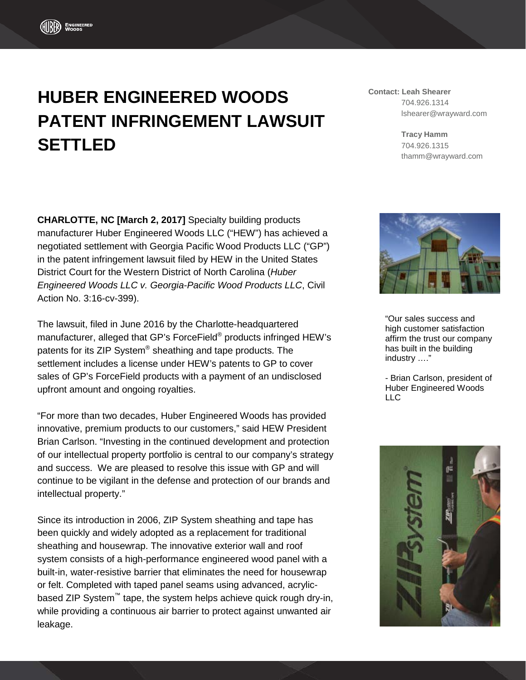## **HUBER ENGINEERED WOODS PATENT INFRINGEMENT LAWSUIT SETTLED**

**Contact: Leah Shearer** 704.926.1314 lshearer@wrayward.com

> **Tracy Hamm** 704.926.1315 thamm@wrayward.com

**CHARLOTTE, NC [March 2, 2017]** Specialty building products manufacturer Huber Engineered Woods LLC ("HEW") has achieved a negotiated settlement with Georgia Pacific Wood Products LLC ("GP") in the patent infringement lawsuit filed by HEW in the United States District Court for the Western District of North Carolina (*Huber Engineered Woods LLC v. Georgia-Pacific Wood Products LLC*, Civil Action No. 3:16-cv-399).

The lawsuit, filed in June 2016 by the Charlotte-headquartered manufacturer, alleged that GP's ForceField® products infringed HEW's patents for its ZIP System® sheathing and tape products. The settlement includes a license under HEW's patents to GP to cover sales of GP's ForceField products with a payment of an undisclosed upfront amount and ongoing royalties.

"For more than two decades, Huber Engineered Woods has provided innovative, premium products to our customers," said HEW President Brian Carlson. "Investing in the continued development and protection of our intellectual property portfolio is central to our company's strategy and success. We are pleased to resolve this issue with GP and will continue to be vigilant in the defense and protection of our brands and intellectual property."

Since its introduction in 2006, ZIP System sheathing and tape has been quickly and widely adopted as a replacement for traditional sheathing and housewrap. The innovative exterior wall and roof system consists of a high-performance engineered wood panel with a built-in, water-resistive barrier that eliminates the need for housewrap or felt. Completed with taped panel seams using advanced, acrylicbased ZIP System™ tape, the system helps achieve quick rough dry-in, while providing a continuous air barrier to protect against unwanted air leakage.



"Our sales success and high customer satisfaction affirm the trust our company has built in the building industry …."

- Brian Carlson, president of Huber Engineered Woods LLC